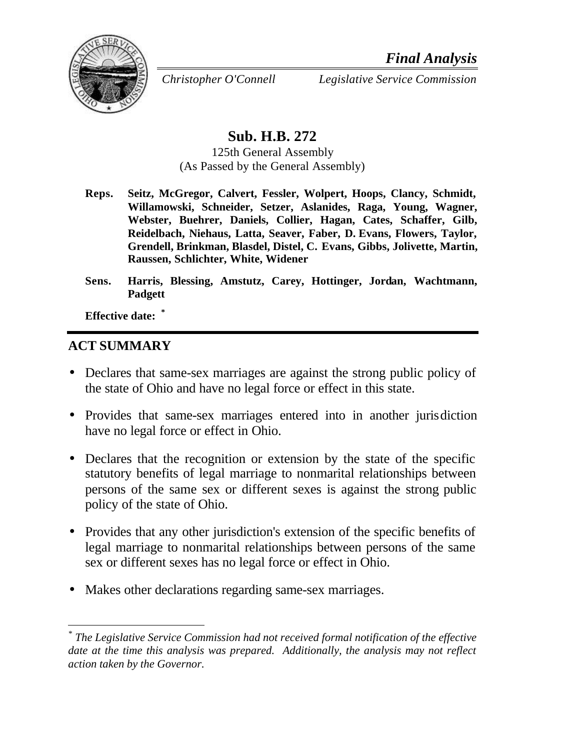

*Christopher O'Connell Legislative Service Commission*

# **Sub. H.B. 272**

125th General Assembly (As Passed by the General Assembly)

- **Reps. Seitz, McGregor, Calvert, Fessler, Wolpert, Hoops, Clancy, Schmidt, Willamowski, Schneider, Setzer, Aslanides, Raga, Young, Wagner, Webster, Buehrer, Daniels, Collier, Hagan, Cates, Schaffer, Gilb, Reidelbach, Niehaus, Latta, Seaver, Faber, D. Evans, Flowers, Taylor, Grendell, Brinkman, Blasdel, Distel, C. Evans, Gibbs, Jolivette, Martin, Raussen, Schlichter, White, Widener**
- **Sens. Harris, Blessing, Amstutz, Carey, Hottinger, Jordan, Wachtmann, Padgett**

**Effective date: \***

### **ACT SUMMARY**

l

- Declares that same-sex marriages are against the strong public policy of the state of Ohio and have no legal force or effect in this state.
- Provides that same-sex marriages entered into in another jurisdiction have no legal force or effect in Ohio.
- Declares that the recognition or extension by the state of the specific statutory benefits of legal marriage to nonmarital relationships between persons of the same sex or different sexes is against the strong public policy of the state of Ohio.
- Provides that any other jurisdiction's extension of the specific benefits of legal marriage to nonmarital relationships between persons of the same sex or different sexes has no legal force or effect in Ohio.
- Makes other declarations regarding same-sex marriages.

<sup>&</sup>lt;sup>\*</sup> The Legislative Service Commission had not received formal notification of the effective *date at the time this analysis was prepared. Additionally, the analysis may not reflect action taken by the Governor.*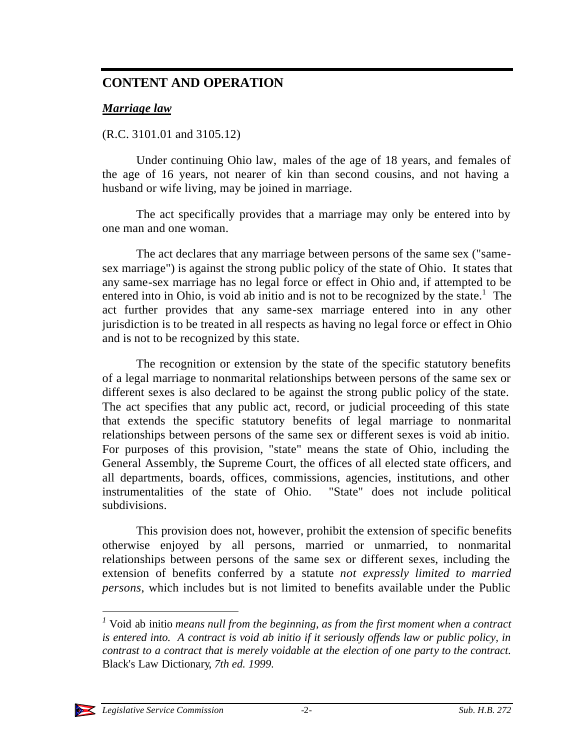### **CONTENT AND OPERATION**

#### *Marriage law*

#### (R.C. 3101.01 and 3105.12)

Under continuing Ohio law, males of the age of 18 years, and females of the age of 16 years, not nearer of kin than second cousins, and not having a husband or wife living, may be joined in marriage.

The act specifically provides that a marriage may only be entered into by one man and one woman.

The act declares that any marriage between persons of the same sex ("samesex marriage") is against the strong public policy of the state of Ohio. It states that any same-sex marriage has no legal force or effect in Ohio and, if attempted to be entered into in Ohio, is void ab initio and is not to be recognized by the state.<sup>1</sup> The act further provides that any same-sex marriage entered into in any other jurisdiction is to be treated in all respects as having no legal force or effect in Ohio and is not to be recognized by this state.

The recognition or extension by the state of the specific statutory benefits of a legal marriage to nonmarital relationships between persons of the same sex or different sexes is also declared to be against the strong public policy of the state. The act specifies that any public act, record, or judicial proceeding of this state that extends the specific statutory benefits of legal marriage to nonmarital relationships between persons of the same sex or different sexes is void ab initio. For purposes of this provision, "state" means the state of Ohio, including the General Assembly, the Supreme Court, the offices of all elected state officers, and all departments, boards, offices, commissions, agencies, institutions, and other instrumentalities of the state of Ohio. "State" does not include political subdivisions.

This provision does not, however, prohibit the extension of specific benefits otherwise enjoyed by all persons, married or unmarried, to nonmarital relationships between persons of the same sex or different sexes, including the extension of benefits conferred by a statute *not expressly limited to married persons*, which includes but is not limited to benefits available under the Public

l

*<sup>1</sup>* Void ab initio *means null from the beginning, as from the first moment when a contract is entered into. A contract is void ab initio if it seriously offends law or public policy, in contrast to a contract that is merely voidable at the election of one party to the contract.*  Black's Law Dictionary*, 7th ed. 1999.*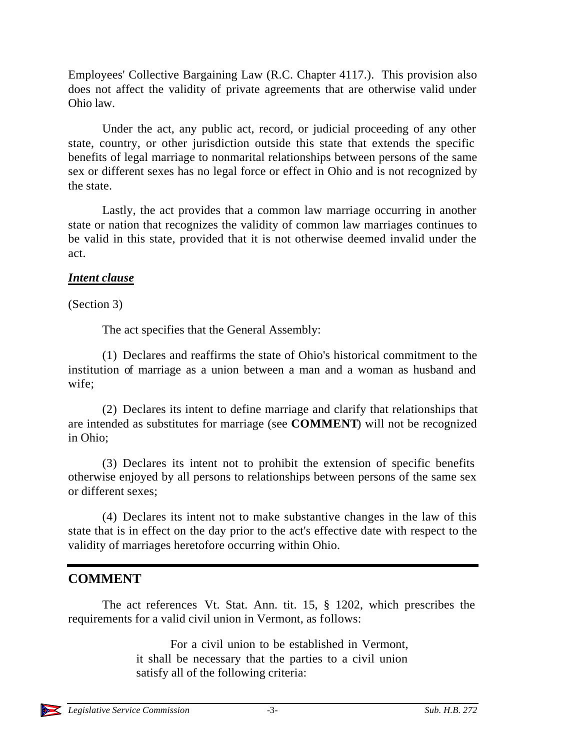Employees' Collective Bargaining Law (R.C. Chapter 4117.). This provision also does not affect the validity of private agreements that are otherwise valid under Ohio law.

Under the act, any public act, record, or judicial proceeding of any other state, country, or other jurisdiction outside this state that extends the specific benefits of legal marriage to nonmarital relationships between persons of the same sex or different sexes has no legal force or effect in Ohio and is not recognized by the state.

Lastly, the act provides that a common law marriage occurring in another state or nation that recognizes the validity of common law marriages continues to be valid in this state, provided that it is not otherwise deemed invalid under the act.

### *Intent clause*

(Section 3)

The act specifies that the General Assembly:

(1) Declares and reaffirms the state of Ohio's historical commitment to the institution of marriage as a union between a man and a woman as husband and wife;

(2) Declares its intent to define marriage and clarify that relationships that are intended as substitutes for marriage (see **COMMENT**) will not be recognized in Ohio;

(3) Declares its intent not to prohibit the extension of specific benefits otherwise enjoyed by all persons to relationships between persons of the same sex or different sexes;

(4) Declares its intent not to make substantive changes in the law of this state that is in effect on the day prior to the act's effective date with respect to the validity of marriages heretofore occurring within Ohio.

## **COMMENT**

The act references Vt. Stat. Ann. tit. 15, § 1202, which prescribes the requirements for a valid civil union in Vermont, as follows:

> For a civil union to be established in Vermont, it shall be necessary that the parties to a civil union satisfy all of the following criteria: